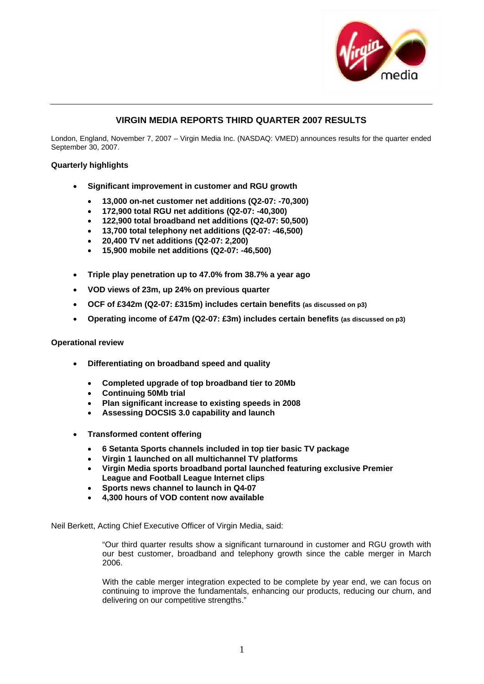

# **VIRGIN MEDIA REPORTS THIRD QUARTER 2007 RESULTS**

London, England, November 7, 2007 – Virgin Media Inc. (NASDAQ: VMED) announces results for the quarter ended September 30, 2007.

## **Quarterly highlights**

- **Significant improvement in customer and RGU growth** 
	- **13,000 on-net customer net additions (Q2-07: -70,300)**
	- **172,900 total RGU net additions (Q2-07: -40,300)**
	- **122,900 total broadband net additions (Q2-07: 50,500)**
	- **13,700 total telephony net additions (Q2-07: -46,500)**
	- **20,400 TV net additions (Q2-07: 2,200)**
	- **15,900 mobile net additions (Q2-07: -46,500)**
- **Triple play penetration up to 47.0% from 38.7% a year ago**
- **VOD views of 23m, up 24% on previous quarter**
- **OCF of £342m (Q2-07: £315m) includes certain benefits (as discussed on p3)**
- **Operating income of £47m (Q2-07: £3m) includes certain benefits (as discussed on p3)**

### **Operational review**

- **Differentiating on broadband speed and quality** 
	- **Completed upgrade of top broadband tier to 20Mb**
	- **Continuing 50Mb trial**
	- **Plan significant increase to existing speeds in 2008**
	- **Assessing DOCSIS 3.0 capability and launch**
- **Transformed content offering** 
	- **6 Setanta Sports channels included in top tier basic TV package**
	- **Virgin 1 launched on all multichannel TV platforms**
	- **Virgin Media sports broadband portal launched featuring exclusive Premier League and Football League Internet clips**
	- **Sports news channel to launch in Q4-07**
	- **4,300 hours of VOD content now available**

Neil Berkett, Acting Chief Executive Officer of Virgin Media, said:

"Our third quarter results show a significant turnaround in customer and RGU growth with our best customer, broadband and telephony growth since the cable merger in March 2006.

With the cable merger integration expected to be complete by year end, we can focus on continuing to improve the fundamentals, enhancing our products, reducing our churn, and delivering on our competitive strengths."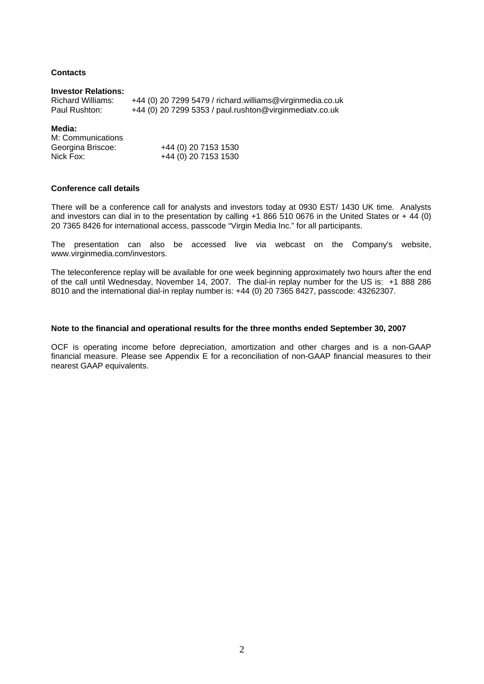# **Contacts**

#### **Investor Relations:**

| Richard Williams: | +44 (0) 20 7299 5479 / richard.williams@virginmedia.co.uk |
|-------------------|-----------------------------------------------------------|
| Paul Rushton:     | +44 (0) 20 7299 5353 / paul.rushton@virginmediatv.co.uk   |

#### **Media:**

| M: Communications |                      |
|-------------------|----------------------|
| Georgina Briscoe: | +44 (0) 20 7153 1530 |
| Nick Fox:         | +44 (0) 20 7153 1530 |

## **Conference call details**

There will be a conference call for analysts and investors today at 0930 EST/ 1430 UK time. Analysts and investors can dial in to the presentation by calling +1 866 510 0676 in the United States or + 44 (0) 20 7365 8426 for international access, passcode "Virgin Media Inc." for all participants.

The presentation can also be accessed live via webcast on the Company's website, [www.virginmedia.com/investors](http://www.ntl.com/investors).

The teleconference replay will be available for one week beginning approximately two hours after the end of the call until Wednesday, November 14, 2007. The dial-in replay number for the US is: +1 888 286 8010 and the international dial-in replay number is: +44 (0) 20 7365 8427, passcode: 43262307.

#### **Note to the financial and operational results for the three months ended September 30, 2007**

OCF is operating income before depreciation, amortization and other charges and is a non-GAAP financial measure. Please see Appendix E for a reconciliation of non-GAAP financial measures to their nearest GAAP equivalents.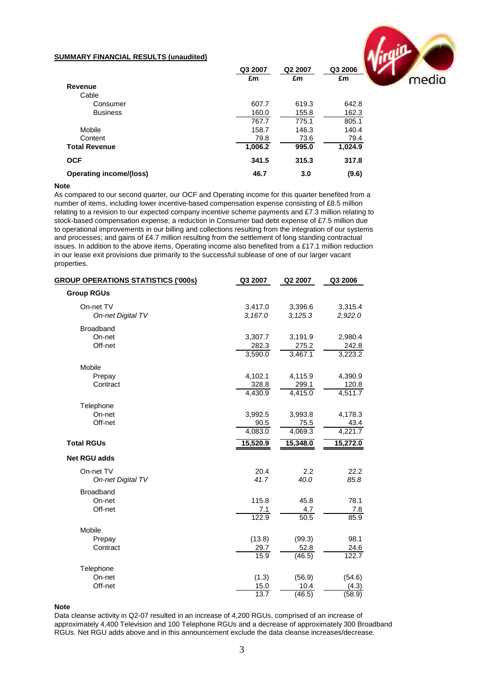#### **SUMMARY FINANCIAL RESULTS (unaudited)**

|                                | Q3 2007 | Q2 2007 | ν<br>Q3 2006         |
|--------------------------------|---------|---------|----------------------|
|                                | £m      | £m      | £m                   |
| Revenue                        |         |         |                      |
| Cable                          |         |         |                      |
| Consumer                       | 607.7   | 619.3   | 642.8                |
| <b>Business</b>                | 160.0   | 155.8   | 162.3                |
|                                | 767.7   | 775.1   | 805.1                |
| Mobile                         | 158.7   | 146.3   | 140.4                |
| Content                        | 79.8    | 73.6    | 79.4                 |
| <b>Total Revenue</b>           | 1,006.2 | 995.0   | $1,024.\overline{9}$ |
| <b>OCF</b>                     | 341.5   | 315.3   | 317.8                |
| <b>Operating income/(loss)</b> | 46.7    | 3.0     | (9.6)                |

#### **Note**

As compared to our second quarter, our OCF and Operating income for this quarter benefited from a number of items, including lower incentive-based compensation expense consisting of £8.5 million relating to a revision to our expected company incentive scheme payments and £7.3 million relating to stock-based compensation expense; a reduction in Consumer bad debt expense of £7.5 million due to operational improvements in our billing and collections resulting from the integration of our systems and processes; and gains of £4.7 million resulting from the settlement of long standing contractual issues. In addition to the above items, Operating income also benefited from a £17.1 million reduction in our lease exit provisions due primarily to the successful sublease of one of our larger vacant properties.

| <b>GROUP OPERATIONS STATISTICS ('000s)</b> | Q3 2007  | Q2 2007  | Q3 2006  |
|--------------------------------------------|----------|----------|----------|
| <b>Group RGUs</b>                          |          |          |          |
| On-net TV                                  | 3,417.0  | 3,396.6  | 3,315.4  |
| <b>On-net Digital TV</b>                   | 3,167.0  | 3, 125.3 | 2,922.0  |
| <b>Broadband</b>                           |          |          |          |
| On-net                                     | 3,307.7  | 3,191.9  | 2,980.4  |
| Off-net                                    | 282.3    | 275.2    | 242.8    |
|                                            | 3,590.0  | 3,467.1  | 3,223.2  |
| Mobile                                     |          |          |          |
| Prepay                                     | 4,102.1  | 4,115.9  | 4,390.9  |
| Contract                                   | 328.8    | 299.1    | 120.8    |
|                                            | 4,430.9  | 4,415.0  | 4,511.7  |
| Telephone                                  |          |          |          |
| On-net                                     | 3,992.5  | 3,993.8  | 4,178.3  |
| Off-net                                    | 90.5     | 75.5     | 43.4     |
|                                            | 4,083.0  | 4,069.3  | 4,221.7  |
| <b>Total RGUs</b>                          | 15,520.9 | 15,348.0 | 15,272.0 |
| <b>Net RGU adds</b>                        |          |          |          |
| On-net TV                                  | 20.4     | 2.2      | 22.2     |
| On-net Digital TV                          | 41.7     | 40.0     | 85.8     |
| Broadband                                  |          |          |          |
| On-net                                     | 115.8    | 45.8     | 78.1     |
| Off-net                                    | 7.1      | 4.7      | 7.8      |
|                                            | 122.9    | 50.5     | 85.9     |
| Mobile                                     |          |          |          |
| Prepay                                     | (13.8)   | (99.3)   | 98.1     |
| Contract                                   | 29.7     | 52.8     | 24.6     |
|                                            | 15.9     | (46.5)   | 122.7    |
| Telephone                                  |          |          |          |
| On-net                                     | (1.3)    | (56.9)   | (54.6)   |
| Off-net                                    | 15.0     | 10.4     | (4.3)    |
|                                            | 13.7     | (46.5)   | (58.9)   |

**Note**

Data cleanse activity in Q2-07 resulted in an increase of 4,200 RGUs, comprised of an increase of approximately 4,400 Television and 100 Telephone RGUs and a decrease of approximately 300 Broadband RGUs. Net RGU adds above and in this announcement exclude the data cleanse increases/decrease.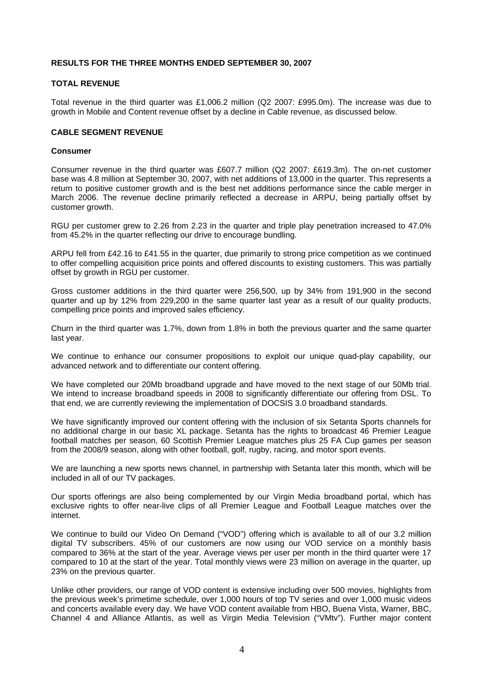# **RESULTS FOR THE THREE MONTHS ENDED SEPTEMBER 30, 2007**

### **TOTAL REVENUE**

Total revenue in the third quarter was £1,006.2 million (Q2 2007: £995.0m). The increase was due to growth in Mobile and Content revenue offset by a decline in Cable revenue, as discussed below.

#### **CABLE SEGMENT REVENUE**

#### **Consumer**

Consumer revenue in the third quarter was £607.7 million (Q2 2007: £619.3m). The on-net customer base was 4.8 million at September 30, 2007, with net additions of 13,000 in the quarter. This represents a return to positive customer growth and is the best net additions performance since the cable merger in March 2006. The revenue decline primarily reflected a decrease in ARPU, being partially offset by customer growth.

RGU per customer grew to 2.26 from 2.23 in the quarter and triple play penetration increased to 47.0% from 45.2% in the quarter reflecting our drive to encourage bundling.

ARPU fell from £42.16 to £41.55 in the quarter, due primarily to strong price competition as we continued to offer compelling acquisition price points and offered discounts to existing customers. This was partially offset by growth in RGU per customer.

Gross customer additions in the third quarter were 256,500, up by 34% from 191,900 in the second quarter and up by 12% from 229,200 in the same quarter last year as a result of our quality products, compelling price points and improved sales efficiency.

Churn in the third quarter was 1.7%, down from 1.8% in both the previous quarter and the same quarter last year.

We continue to enhance our consumer propositions to exploit our unique quad-play capability, our advanced network and to differentiate our content offering.

We have completed our 20Mb broadband upgrade and have moved to the next stage of our 50Mb trial. We intend to increase broadband speeds in 2008 to significantly differentiate our offering from DSL. To that end, we are currently reviewing the implementation of DOCSIS 3.0 broadband standards.

We have significantly improved our content offering with the inclusion of six Setanta Sports channels for no additional charge in our basic XL package. Setanta has the rights to broadcast 46 Premier League football matches per season, 60 Scottish Premier League matches plus 25 FA Cup games per season from the 2008/9 season, along with other football, golf, rugby, racing, and motor sport events.

We are launching a new sports news channel, in partnership with Setanta later this month, which will be included in all of our TV packages.

Our sports offerings are also being complemented by our Virgin Media broadband portal, which has exclusive rights to offer near-live clips of all Premier League and Football League matches over the internet.

We continue to build our Video On Demand ("VOD") offering which is available to all of our 3.2 million digital TV subscribers. 45% of our customers are now using our VOD service on a monthly basis compared to 36% at the start of the year. Average views per user per month in the third quarter were 17 compared to 10 at the start of the year. Total monthly views were 23 million on average in the quarter, up 23% on the previous quarter.

Unlike other providers, our range of VOD content is extensive including over 500 movies, highlights from the previous week's primetime schedule, over 1,000 hours of top TV series and over 1,000 music videos and concerts available every day. We have VOD content available from HBO, Buena Vista, Warner, BBC, Channel 4 and Alliance Atlantis, as well as Virgin Media Television ("VMtv"). Further major content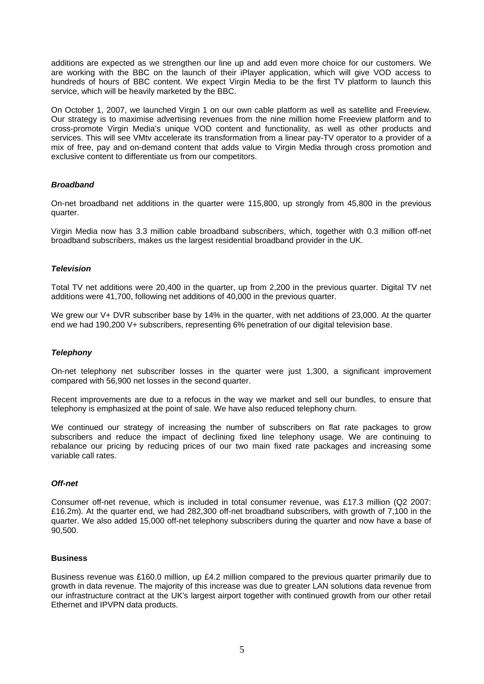additions are expected as we strengthen our line up and add even more choice for our customers. We are working with the BBC on the launch of their iPlayer application, which will give VOD access to hundreds of hours of BBC content. We expect Virgin Media to be the first TV platform to launch this service, which will be heavily marketed by the BBC.

On October 1, 2007, we launched Virgin 1 on our own cable platform as well as satellite and Freeview. Our strategy is to maximise advertising revenues from the nine million home Freeview platform and to cross-promote Virgin Media's unique VOD content and functionality, as well as other products and services. This will see VMtv accelerate its transformation from a linear pay-TV operator to a provider of a mix of free, pay and on-demand content that adds value to Virgin Media through cross promotion and exclusive content to differentiate us from our competitors.

# *Broadband*

On-net broadband net additions in the quarter were 115,800, up strongly from 45,800 in the previous quarter.

Virgin Media now has 3.3 million cable broadband subscribers, which, together with 0.3 million off-net broadband subscribers, makes us the largest residential broadband provider in the UK.

#### *Television*

Total TV net additions were 20,400 in the quarter, up from 2,200 in the previous quarter. Digital TV net additions were 41,700, following net additions of 40,000 in the previous quarter.

We grew our V+ DVR subscriber base by 14% in the quarter, with net additions of 23,000. At the quarter end we had 190,200 V+ subscribers, representing 6% penetration of our digital television base.

#### *Telephony*

On-net telephony net subscriber losses in the quarter were just 1,300, a significant improvement compared with 56,900 net losses in the second quarter.

Recent improvements are due to a refocus in the way we market and sell our bundles, to ensure that telephony is emphasized at the point of sale. We have also reduced telephony churn.

We continued our strategy of increasing the number of subscribers on flat rate packages to grow subscribers and reduce the impact of declining fixed line telephony usage. We are continuing to rebalance our pricing by reducing prices of our two main fixed rate packages and increasing some variable call rates.

### *Off-net*

Consumer off-net revenue, which is included in total consumer revenue, was £17.3 million (Q2 2007: £16.2m). At the quarter end, we had 282,300 off-net broadband subscribers, with growth of 7,100 in the quarter. We also added 15,000 off-net telephony subscribers during the quarter and now have a base of 90,500.

#### **Business**

Business revenue was £160.0 million, up £4.2 million compared to the previous quarter primarily due to growth in data revenue. The majority of this increase was due to greater LAN solutions data revenue from our infrastructure contract at the UK's largest airport together with continued growth from our other retail Ethernet and IPVPN data products.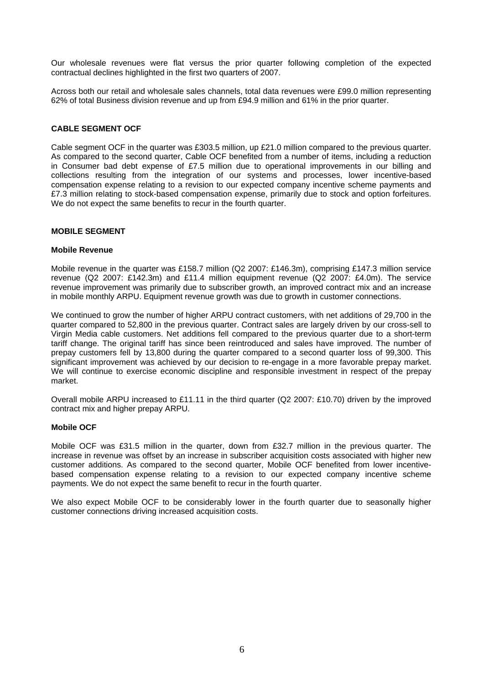Our wholesale revenues were flat versus the prior quarter following completion of the expected contractual declines highlighted in the first two quarters of 2007.

Across both our retail and wholesale sales channels, total data revenues were £99.0 million representing 62% of total Business division revenue and up from £94.9 million and 61% in the prior quarter.

# **CABLE SEGMENT OCF**

Cable segment OCF in the quarter was £303.5 million, up £21.0 million compared to the previous quarter. As compared to the second quarter, Cable OCF benefited from a number of items, including a reduction in Consumer bad debt expense of  $£7.5$  million due to operational improvements in our billing and collections resulting from the integration of our systems and processes, lower incentive-based compensation expense relating to a revision to our expected company incentive scheme payments and £7.3 million relating to stock-based compensation expense, primarily due to stock and option forfeitures. We do not expect the same benefits to recur in the fourth quarter.

# **MOBILE SEGMENT**

#### **Mobile Revenue**

Mobile revenue in the quarter was £158.7 million (Q2 2007: £146.3m), comprising £147.3 million service revenue (Q2 2007: £142.3m) and £11.4 million equipment revenue (Q2 2007: £4.0m). The service revenue improvement was primarily due to subscriber growth, an improved contract mix and an increase in mobile monthly ARPU. Equipment revenue growth was due to growth in customer connections.

We continued to grow the number of higher ARPU contract customers, with net additions of 29,700 in the quarter compared to 52,800 in the previous quarter. Contract sales are largely driven by our cross-sell to Virgin Media cable customers. Net additions fell compared to the previous quarter due to a short-term tariff change. The original tariff has since been reintroduced and sales have improved. The number of prepay customers fell by 13,800 during the quarter compared to a second quarter loss of 99,300. This significant improvement was achieved by our decision to re-engage in a more favorable prepay market. We will continue to exercise economic discipline and responsible investment in respect of the prepay market.

Overall mobile ARPU increased to £11.11 in the third quarter (Q2 2007: £10.70) driven by the improved contract mix and higher prepay ARPU.

#### **Mobile OCF**

Mobile OCF was £31.5 million in the quarter, down from £32.7 million in the previous quarter. The increase in revenue was offset by an increase in subscriber acquisition costs associated with higher new customer additions. As compared to the second quarter, Mobile OCF benefited from lower incentivebased compensation expense relating to a revision to our expected company incentive scheme payments. We do not expect the same benefit to recur in the fourth quarter.

We also expect Mobile OCF to be considerably lower in the fourth quarter due to seasonally higher customer connections driving increased acquisition costs.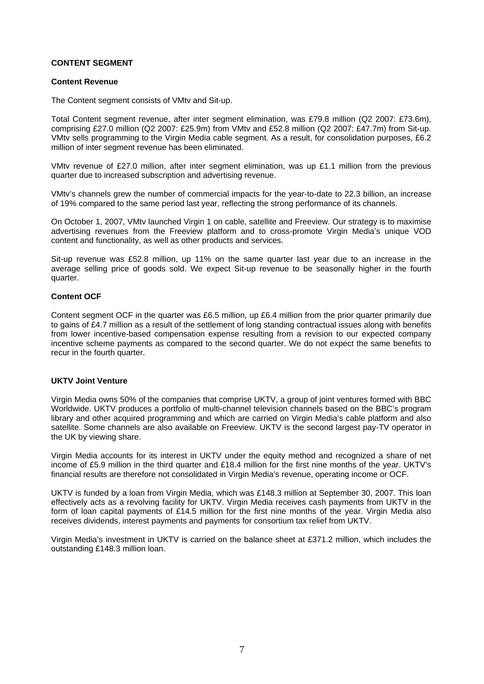# **CONTENT SEGMENT**

## **Content Revenue**

The Content segment consists of VMtv and Sit-up.

Total Content segment revenue, after inter segment elimination, was £79.8 million (Q2 2007: £73.6m), comprising £27.0 million (Q2 2007: £25.9m) from VMtv and £52.8 million (Q2 2007: £47.7m) from Sit-up. VMtv sells programming to the Virgin Media cable segment. As a result, for consolidation purposes, £6.2 million of inter segment revenue has been eliminated.

VMtv revenue of £27.0 million, after inter segment elimination, was up £1.1 million from the previous quarter due to increased subscription and advertising revenue.

VMtv's channels grew the number of commercial impacts for the year-to-date to 22.3 billion, an increase of 19% compared to the same period last year, reflecting the strong performance of its channels.

On October 1, 2007, VMtv launched Virgin 1 on cable, satellite and Freeview. Our strategy is to maximise advertising revenues from the Freeview platform and to cross-promote Virgin Media's unique VOD content and functionality, as well as other products and services.

Sit-up revenue was £52.8 million, up 11% on the same quarter last year due to an increase in the average selling price of goods sold. We expect Sit-up revenue to be seasonally higher in the fourth quarter.

# **Content OCF**

Content segment OCF in the quarter was £6.5 million, up £6.4 million from the prior quarter primarily due to gains of £4.7 million as a result of the settlement of long standing contractual issues along with benefits from lower incentive-based compensation expense resulting from a revision to our expected company incentive scheme payments as compared to the second quarter. We do not expect the same benefits to recur in the fourth quarter.

#### **UKTV Joint Venture**

Virgin Media owns 50% of the companies that comprise UKTV, a group of joint ventures formed with BBC Worldwide. UKTV produces a portfolio of multi-channel television channels based on the BBC's program library and other acquired programming and which are carried on Virgin Media's cable platform and also satellite. Some channels are also available on Freeview. UKTV is the second largest pay-TV operator in the UK by viewing share.

Virgin Media accounts for its interest in UKTV under the equity method and recognized a share of net income of £5.9 million in the third quarter and £18.4 million for the first nine months of the year. UKTV's financial results are therefore not consolidated in Virgin Media's revenue, operating income or OCF.

UKTV is funded by a loan from Virgin Media, which was £148.3 million at September 30, 2007. This loan effectively acts as a revolving facility for UKTV. Virgin Media receives cash payments from UKTV in the form of loan capital payments of £14.5 million for the first nine months of the year. Virgin Media also receives dividends, interest payments and payments for consortium tax relief from UKTV.

Virgin Media's investment in UKTV is carried on the balance sheet at £371.2 million, which includes the outstanding £148.3 million loan.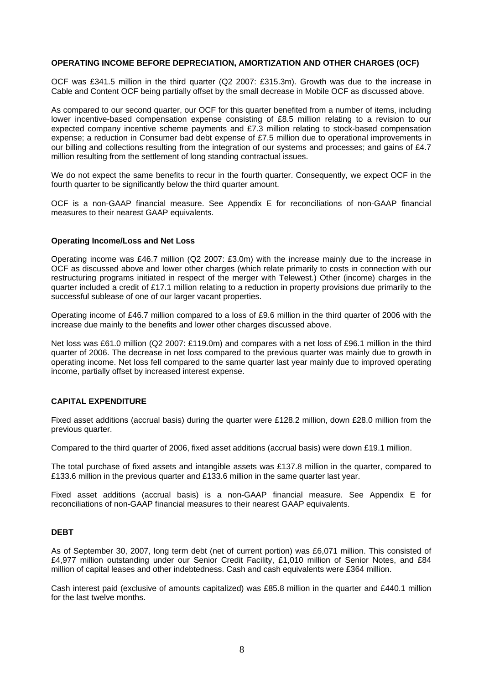# **OPERATING INCOME BEFORE DEPRECIATION, AMORTIZATION AND OTHER CHARGES (OCF)**

OCF was £341.5 million in the third quarter (Q2 2007: £315.3m). Growth was due to the increase in Cable and Content OCF being partially offset by the small decrease in Mobile OCF as discussed above.

As compared to our second quarter, our OCF for this quarter benefited from a number of items, including lower incentive-based compensation expense consisting of £8.5 million relating to a revision to our expected company incentive scheme payments and £7.3 million relating to stock-based compensation expense; a reduction in Consumer bad debt expense of £7.5 million due to operational improvements in our billing and collections resulting from the integration of our systems and processes; and gains of £4.7 million resulting from the settlement of long standing contractual issues.

We do not expect the same benefits to recur in the fourth quarter. Consequently, we expect OCF in the fourth quarter to be significantly below the third quarter amount.

OCF is a non-GAAP financial measure. See Appendix E for reconciliations of non-GAAP financial measures to their nearest GAAP equivalents.

#### **Operating Income/Loss and Net Loss**

Operating income was £46.7 million (Q2 2007: £3.0m) with the increase mainly due to the increase in OCF as discussed above and lower other charges (which relate primarily to costs in connection with our restructuring programs initiated in respect of the merger with Telewest.) Other (income) charges in the quarter included a credit of £17.1 million relating to a reduction in property provisions due primarily to the successful sublease of one of our larger vacant properties.

Operating income of £46.7 million compared to a loss of £9.6 million in the third quarter of 2006 with the increase due mainly to the benefits and lower other charges discussed above.

Net loss was £61.0 million (Q2 2007: £119.0m) and compares with a net loss of £96.1 million in the third quarter of 2006. The decrease in net loss compared to the previous quarter was mainly due to growth in operating income. Net loss fell compared to the same quarter last year mainly due to improved operating income, partially offset by increased interest expense.

#### **CAPITAL EXPENDITURE**

Fixed asset additions (accrual basis) during the quarter were £128.2 million, down £28.0 million from the previous quarter.

Compared to the third quarter of 2006, fixed asset additions (accrual basis) were down £19.1 million.

The total purchase of fixed assets and intangible assets was £137.8 million in the quarter, compared to £133.6 million in the previous quarter and £133.6 million in the same quarter last year.

Fixed asset additions (accrual basis) is a non-GAAP financial measure. See Appendix E for reconciliations of non-GAAP financial measures to their nearest GAAP equivalents.

### **DEBT**

As of September 30, 2007, long term debt (net of current portion) was £6,071 million. This consisted of £4,977 million outstanding under our Senior Credit Facility, £1,010 million of Senior Notes, and £84 million of capital leases and other indebtedness. Cash and cash equivalents were £364 million.

Cash interest paid (exclusive of amounts capitalized) was £85.8 million in the quarter and £440.1 million for the last twelve months.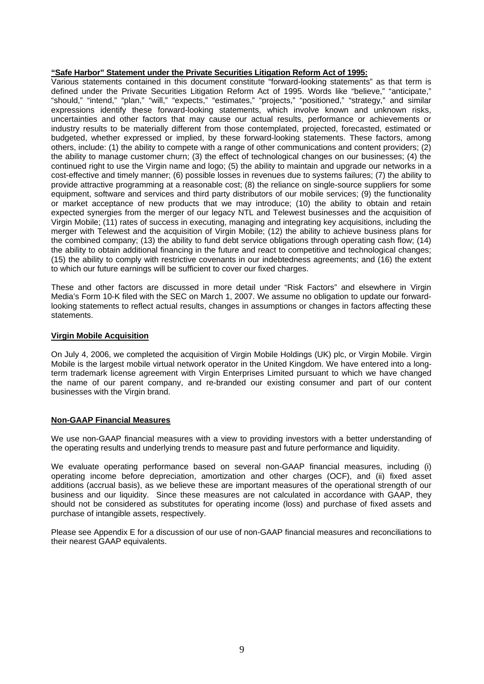# **"Safe Harbor" Statement under the Private Securities Litigation Reform Act of 1995:**

Various statements contained in this document constitute "forward-looking statements" as that term is defined under the Private Securities Litigation Reform Act of 1995. Words like "believe," "anticipate," "should," "intend," "plan," "will," "expects," "estimates," "projects," "positioned," "strategy," and similar expressions identify these forward-looking statements, which involve known and unknown risks, uncertainties and other factors that may cause our actual results, performance or achievements or industry results to be materially different from those contemplated, projected, forecasted, estimated or budgeted, whether expressed or implied, by these forward-looking statements. These factors, among others, include: (1) the ability to compete with a range of other communications and content providers; (2) the ability to manage customer churn; (3) the effect of technological changes on our businesses; (4) the continued right to use the Virgin name and logo; (5) the ability to maintain and upgrade our networks in a cost-effective and timely manner; (6) possible losses in revenues due to systems failures; (7) the ability to provide attractive programming at a reasonable cost; (8) the reliance on single-source suppliers for some equipment, software and services and third party distributors of our mobile services; (9) the functionality or market acceptance of new products that we may introduce; (10) the ability to obtain and retain expected synergies from the merger of our legacy NTL and Telewest businesses and the acquisition of Virgin Mobile; (11) rates of success in executing, managing and integrating key acquisitions, including the merger with Telewest and the acquisition of Virgin Mobile; (12) the ability to achieve business plans for the combined company; (13) the ability to fund debt service obligations through operating cash flow; (14) the ability to obtain additional financing in the future and react to competitive and technological changes; (15) the ability to comply with restrictive covenants in our indebtedness agreements; and (16) the extent to which our future earnings will be sufficient to cover our fixed charges.

These and other factors are discussed in more detail under "Risk Factors" and elsewhere in Virgin Media's Form 10-K filed with the SEC on March 1, 2007. We assume no obligation to update our forwardlooking statements to reflect actual results, changes in assumptions or changes in factors affecting these statements.

#### **Virgin Mobile Acquisition**

On July 4, 2006, we completed the acquisition of Virgin Mobile Holdings (UK) plc, or Virgin Mobile. Virgin Mobile is the largest mobile virtual network operator in the United Kingdom. We have entered into a longterm trademark license agreement with Virgin Enterprises Limited pursuant to which we have changed the name of our parent company, and re-branded our existing consumer and part of our content businesses with the Virgin brand.

# **Non-GAAP Financial Measures**

We use non-GAAP financial measures with a view to providing investors with a better understanding of the operating results and underlying trends to measure past and future performance and liquidity.

We evaluate operating performance based on several non-GAAP financial measures, including (i) operating income before depreciation, amortization and other charges (OCF), and (ii) fixed asset additions (accrual basis), as we believe these are important measures of the operational strength of our business and our liquidity. Since these measures are not calculated in accordance with GAAP, they should not be considered as substitutes for operating income (loss) and purchase of fixed assets and purchase of intangible assets, respectively.

Please see Appendix E for a discussion of our use of non-GAAP financial measures and reconciliations to their nearest GAAP equivalents.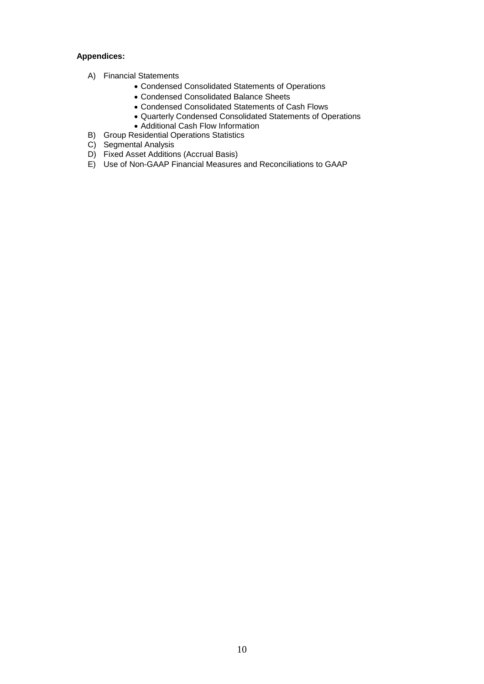# **Appendices:**

- A) Financial Statements
	- Condensed Consolidated Statements of Operations
	- Condensed Consolidated Balance Sheets
	- Condensed Consolidated Statements of Cash Flows
	- Quarterly Condensed Consolidated Statements of Operations
	- Additional Cash Flow Information
- B) Group Residential Operations Statistics
- C) Segmental Analysis
- D) Fixed Asset Additions (Accrual Basis)
- E) Use of Non-GAAP Financial Measures and Reconciliations to GAAP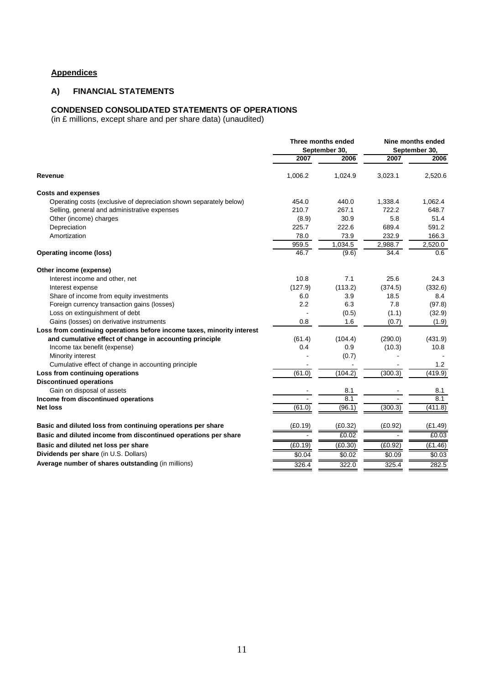# **Appendices**

# **A) FINANCIAL STATEMENTS**

#### **CONDENSED CONSOLIDATED STATEMENTS OF OPERATIONS**

(in £ millions, except share and per share data) (unaudited)

|                                                                        | Three months ended<br>September 30, |         | Nine months ended<br>September 30, |         |
|------------------------------------------------------------------------|-------------------------------------|---------|------------------------------------|---------|
|                                                                        | 2007                                | 2006    | 2007                               | 2006    |
| Revenue                                                                | 1,006.2                             | 1,024.9 | 3,023.1                            | 2,520.6 |
| <b>Costs and expenses</b>                                              |                                     |         |                                    |         |
| Operating costs (exclusive of depreciation shown separately below)     | 454.0                               | 440.0   | 1,338.4                            | 1,062.4 |
| Selling, general and administrative expenses                           | 210.7                               | 267.1   | 722.2                              | 648.7   |
| Other (income) charges                                                 | (8.9)                               | 30.9    | 5.8                                | 51.4    |
| Depreciation                                                           | 225.7                               | 222.6   | 689.4                              | 591.2   |
| Amortization                                                           | 78.0                                | 73.9    | 232.9                              | 166.3   |
|                                                                        | 959.5                               | 1,034.5 | 2,988.7                            | 2,520.0 |
| <b>Operating income (loss)</b>                                         | 46.7                                | (9.6)   | 34.4                               | 0.6     |
| Other income (expense)                                                 |                                     |         |                                    |         |
| Interest income and other, net                                         | 10.8                                | 7.1     | 25.6                               | 24.3    |
| Interest expense                                                       | (127.9)                             | (113.2) | (374.5)                            | (332.6) |
| Share of income from equity investments                                | 6.0                                 | 3.9     | 18.5                               | 8.4     |
| Foreign currency transaction gains (losses)                            | 2.2                                 | 6.3     | 7.8                                | (97.8)  |
| Loss on extinguishment of debt                                         |                                     | (0.5)   | (1.1)                              | (32.9)  |
| Gains (losses) on derivative instruments                               | 0.8                                 | 1.6     | (0.7)                              | (1.9)   |
| Loss from continuing operations before income taxes, minority interest |                                     |         |                                    |         |
| and cumulative effect of change in accounting principle                | (61.4)                              | (104.4) | (290.0)                            | (431.9) |
| Income tax benefit (expense)                                           | 0.4                                 | 0.9     | (10.3)                             | 10.8    |
| Minority interest                                                      |                                     | (0.7)   |                                    |         |
| Cumulative effect of change in accounting principle                    |                                     |         |                                    | 1.2     |
| Loss from continuing operations                                        | (61.0)                              | (104.2) | (300.3)                            | (419.9) |
| <b>Discontinued operations</b>                                         |                                     |         |                                    |         |
| Gain on disposal of assets                                             |                                     | 8.1     |                                    | 8.1     |
| Income from discontinued operations                                    |                                     | 8.1     |                                    | 8.1     |
| <b>Net loss</b>                                                        | (61.0)                              | (96.1)  | (300.3)                            | (411.8) |
| Basic and diluted loss from continuing operations per share            | (E0.19)                             | (E0.32) | (E0.92)                            | (E1.49) |
| Basic and diluted income from discontinued operations per share        |                                     | £0.02   |                                    | £0.03   |
| Basic and diluted net loss per share                                   | (E0.19)                             | (E0.30) | (E0.92)                            | (E1.46) |
| Dividends per share (in U.S. Dollars)                                  | \$0.04                              | \$0.02  | \$0.09                             | \$0.03  |
| Average number of shares outstanding (in millions)                     | 326.4                               | 322.0   | 325.4                              | 282.5   |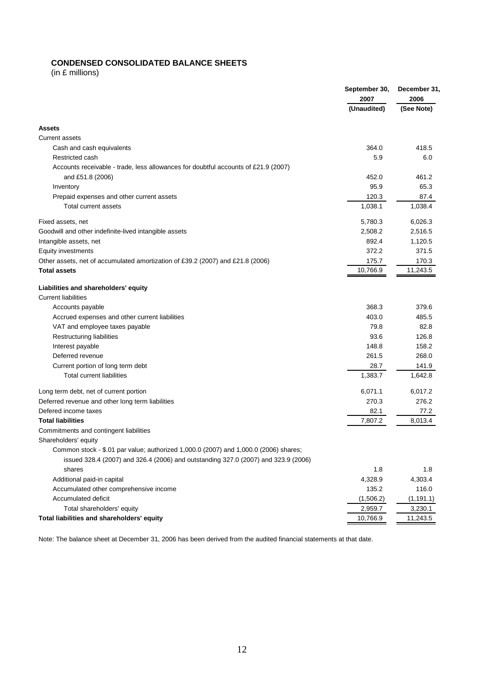# **CONDENSED CONSOLIDATED BALANCE SHEETS**

(in £ millions)

|                                                                                                                                                                            | September 30,<br>2007 | December 31,<br>2006 |  |
|----------------------------------------------------------------------------------------------------------------------------------------------------------------------------|-----------------------|----------------------|--|
|                                                                                                                                                                            | (Unaudited)           | (See Note)           |  |
| <b>Assets</b>                                                                                                                                                              |                       |                      |  |
| <b>Current assets</b>                                                                                                                                                      |                       |                      |  |
| Cash and cash equivalents                                                                                                                                                  | 364.0                 | 418.5                |  |
| Restricted cash                                                                                                                                                            | 5.9                   | 6.0                  |  |
| Accounts receivable - trade, less allowances for doubtful accounts of £21.9 (2007)                                                                                         |                       |                      |  |
| and £51.8 (2006)                                                                                                                                                           | 452.0                 | 461.2                |  |
| Inventory                                                                                                                                                                  | 95.9                  | 65.3                 |  |
| Prepaid expenses and other current assets                                                                                                                                  | 120.3                 | 87.4                 |  |
| Total current assets                                                                                                                                                       | 1,038.1               | 1,038.4              |  |
| Fixed assets, net                                                                                                                                                          | 5,780.3               | 6,026.3              |  |
| Goodwill and other indefinite-lived intangible assets                                                                                                                      | 2,508.2               | 2,516.5              |  |
| Intangible assets, net                                                                                                                                                     | 892.4                 | 1,120.5              |  |
| <b>Equity investments</b>                                                                                                                                                  | 372.2                 | 371.5                |  |
| Other assets, net of accumulated amortization of £39.2 (2007) and £21.8 (2006)                                                                                             | 175.7                 | 170.3                |  |
| <b>Total assets</b>                                                                                                                                                        | 10,766.9              | 11,243.5             |  |
| Liabilities and shareholders' equity                                                                                                                                       |                       |                      |  |
| <b>Current liabilities</b>                                                                                                                                                 |                       |                      |  |
| Accounts payable                                                                                                                                                           | 368.3                 | 379.6                |  |
| Accrued expenses and other current liabilities                                                                                                                             | 403.0                 | 485.5                |  |
| VAT and employee taxes payable                                                                                                                                             | 79.8                  | 82.8                 |  |
| Restructuring liabilities                                                                                                                                                  | 93.6                  | 126.8                |  |
| Interest payable                                                                                                                                                           | 148.8                 | 158.2                |  |
| Deferred revenue                                                                                                                                                           | 261.5                 | 268.0                |  |
| Current portion of long term debt                                                                                                                                          | 28.7                  | 141.9                |  |
| <b>Total current liabilities</b>                                                                                                                                           | 1,383.7               | 1,642.8              |  |
| Long term debt, net of current portion                                                                                                                                     | 6,071.1               | 6,017.2              |  |
| Deferred revenue and other long term liabilities                                                                                                                           | 270.3                 | 276.2                |  |
| Defered income taxes                                                                                                                                                       | 82.1                  | 77.2                 |  |
| <b>Total liabilities</b>                                                                                                                                                   | 7,807.2               | 8,013.4              |  |
| Commitments and contingent liabilities                                                                                                                                     |                       |                      |  |
| Shareholders' equity                                                                                                                                                       |                       |                      |  |
| Common stock - \$.01 par value; authorized 1,000.0 (2007) and 1,000.0 (2006) shares;<br>issued 328.4 (2007) and 326.4 (2006) and outstanding 327.0 (2007) and 323.9 (2006) |                       |                      |  |
| shares                                                                                                                                                                     | 1.8                   | 1.8                  |  |
| Additional paid-in capital                                                                                                                                                 | 4,328.9               | 4,303.4              |  |
| Accumulated other comprehensive income                                                                                                                                     | 135.2                 | 116.0                |  |
| Accumulated deficit                                                                                                                                                        | (1,506.2)             | (1, 191.1)           |  |
| Total shareholders' equity                                                                                                                                                 | 2,959.7               | 3,230.1              |  |
| Total liabilities and shareholders' equity                                                                                                                                 | 10,766.9              | 11,243.5             |  |

Note: The balance sheet at December 31, 2006 has been derived from the audited financial statements at that date.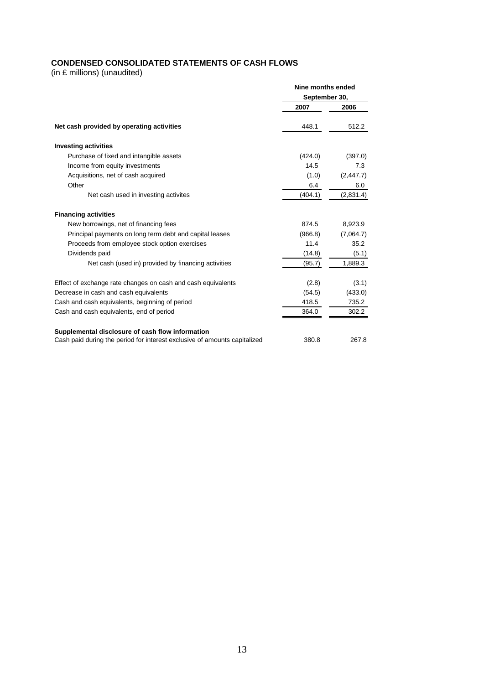# **CONDENSED CONSOLIDATED STATEMENTS OF CASH FLOWS**

(in £ millions) (unaudited)

|                                                                           | Nine months ended |            |  |
|---------------------------------------------------------------------------|-------------------|------------|--|
|                                                                           | September 30,     |            |  |
|                                                                           | 2007              | 2006       |  |
| Net cash provided by operating activities                                 | 448.1             | 512.2      |  |
| <b>Investing activities</b>                                               |                   |            |  |
| Purchase of fixed and intangible assets                                   | (424.0)           | (397.0)    |  |
| Income from equity investments                                            | 14.5              | 7.3        |  |
| Acquisitions, net of cash acquired                                        | (1.0)             | (2, 447.7) |  |
| Other                                                                     | 6.4               | 6.0        |  |
| Net cash used in investing activites                                      | (404.1)           | (2,831.4)  |  |
| <b>Financing activities</b>                                               |                   |            |  |
| New borrowings, net of financing fees                                     | 874.5             | 8,923.9    |  |
| Principal payments on long term debt and capital leases                   | (966.8)           | (7,064.7)  |  |
| Proceeds from employee stock option exercises                             | 11.4              | 35.2       |  |
| Dividends paid                                                            | (14.8)            | (5.1)      |  |
| Net cash (used in) provided by financing activities                       | (95.7)            | 1,889.3    |  |
| Effect of exchange rate changes on cash and cash equivalents              | (2.8)             | (3.1)      |  |
| Decrease in cash and cash equivalents                                     | (54.5)            | (433.0)    |  |
| Cash and cash equivalents, beginning of period                            | 418.5             | 735.2      |  |
| Cash and cash equivalents, end of period                                  | 364.0             | 302.2      |  |
| Supplemental disclosure of cash flow information                          |                   |            |  |
| Cash paid during the period for interest exclusive of amounts capitalized | 380.8             | 267.8      |  |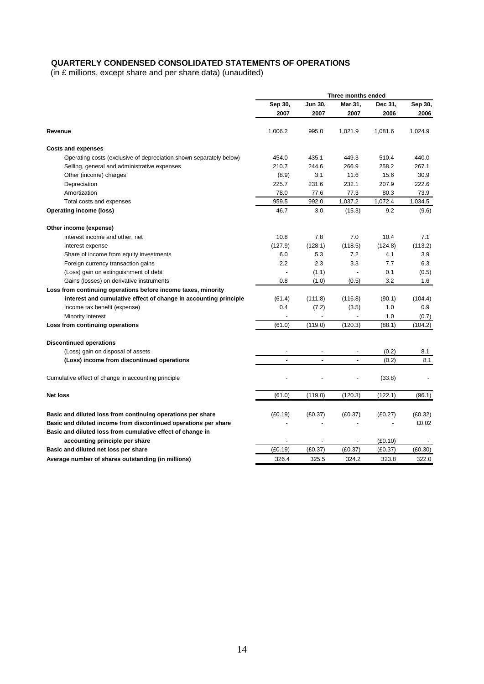# **QUARTERLY CONDENSED CONSOLIDATED STATEMENTS OF OPERATIONS**

(in £ millions, except share and per share data) (unaudited)

|                                                                    | Three months ended |         |         |         |         |
|--------------------------------------------------------------------|--------------------|---------|---------|---------|---------|
|                                                                    | Sep 30,            | Jun 30, | Mar 31, | Dec 31, | Sep 30, |
|                                                                    | 2007               | 2007    | 2007    | 2006    | 2006    |
| Revenue                                                            | 1,006.2            | 995.0   | 1,021.9 | 1,081.6 | 1,024.9 |
| <b>Costs and expenses</b>                                          |                    |         |         |         |         |
| Operating costs (exclusive of depreciation shown separately below) | 454.0              | 435.1   | 449.3   | 510.4   | 440.0   |
| Selling, general and administrative expenses                       | 210.7              | 244.6   | 266.9   | 258.2   | 267.1   |
| Other (income) charges                                             | (8.9)              | 3.1     | 11.6    | 15.6    | 30.9    |
| Depreciation                                                       | 225.7              | 231.6   | 232.1   | 207.9   | 222.6   |
| Amortization                                                       | 78.0               | 77.6    | 77.3    | 80.3    | 73.9    |
| Total costs and expenses                                           | 959.5              | 992.0   | 1,037.2 | 1,072.4 | 1,034.5 |
| <b>Operating income (loss)</b>                                     | 46.7               | 3.0     | (15.3)  | 9.2     | (9.6)   |
| Other income (expense)                                             |                    |         |         |         |         |
| Interest income and other, net                                     | 10.8               | 7.8     | 7.0     | 10.4    | 7.1     |
| Interest expense                                                   | (127.9)            | (128.1) | (118.5) | (124.8) | (113.2) |
| Share of income from equity investments                            | 6.0                | 5.3     | 7.2     | 4.1     | 3.9     |
| Foreign currency transaction gains                                 | 2.2                | 2.3     | 3.3     | 7.7     | 6.3     |
| (Loss) gain on extinguishment of debt                              |                    | (1.1)   |         | 0.1     | (0.5)   |
| Gains (losses) on derivative instruments                           | 0.8                | (1.0)   | (0.5)   | 3.2     | 1.6     |
| Loss from continuing operations before income taxes, minority      |                    |         |         |         |         |
| interest and cumulative effect of change in accounting principle   | (61.4)             | (111.8) | (116.8) | (90.1)  | (104.4) |
| Income tax benefit (expense)                                       | 0.4                | (7.2)   | (3.5)   | 1.0     | 0.9     |
| Minority interest                                                  |                    |         |         | 1.0     | (0.7)   |
| Loss from continuing operations                                    | (61.0)             | (119.0) | (120.3) | (88.1)  | (104.2) |
| <b>Discontinued operations</b>                                     |                    |         |         |         |         |
| (Loss) gain on disposal of assets                                  |                    |         |         | (0.2)   | 8.1     |
| (Loss) income from discontinued operations                         |                    |         |         | (0.2)   | 8.1     |
|                                                                    |                    |         |         |         |         |
| Cumulative effect of change in accounting principle                |                    |         |         | (33.8)  |         |
| <b>Net loss</b>                                                    | (61.0)             | (119.0) | (120.3) | (122.1) | (96.1)  |
|                                                                    |                    |         |         |         |         |
| Basic and diluted loss from continuing operations per share        | (E0.19)            | (E0.37) | (E0.37) | (E0.27) | (E0.32) |
| Basic and diluted income from discontinued operations per share    |                    |         |         |         | £0.02   |
| Basic and diluted loss from cumulative effect of change in         |                    |         |         |         |         |
| accounting principle per share                                     |                    |         |         | (E0.10) |         |
| Basic and diluted net loss per share                               | (E0.19)            | (E0.37) | (E0.37) | (E0.37) | (E0.30) |
| Average number of shares outstanding (in millions)                 | 326.4              | 325.5   | 324.2   | 323.8   | 322.0   |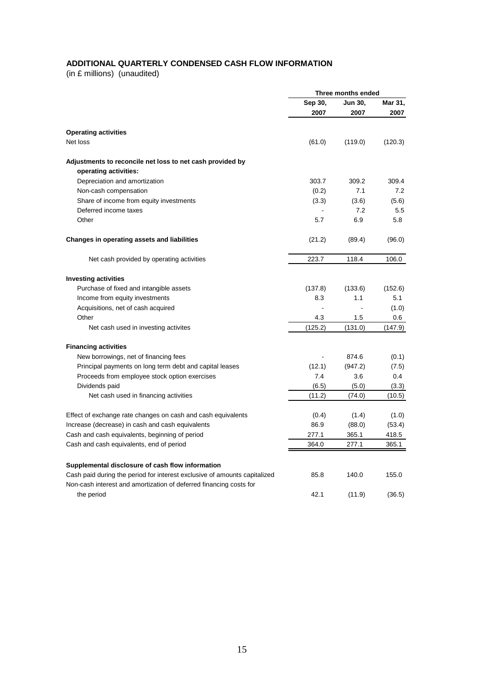# **ADDITIONAL QUARTERLY CONDENSED CASH FLOW INFORMATION**

(in £ millions) (unaudited)

|                                                                           |         | Three months ended |         |
|---------------------------------------------------------------------------|---------|--------------------|---------|
|                                                                           | Sep 30, | Jun 30,            | Mar 31, |
|                                                                           | 2007    | 2007               | 2007    |
| <b>Operating activities</b>                                               |         |                    |         |
| Net loss                                                                  |         |                    |         |
|                                                                           | (61.0)  | (119.0)            | (120.3) |
| Adjustments to reconcile net loss to net cash provided by                 |         |                    |         |
| operating activities:                                                     |         |                    |         |
| Depreciation and amortization                                             | 303.7   | 309.2              | 309.4   |
| Non-cash compensation                                                     | (0.2)   | 7.1                | 7.2     |
| Share of income from equity investments                                   | (3.3)   | (3.6)              | (5.6)   |
| Deferred income taxes                                                     |         | 7.2                | 5.5     |
| Other                                                                     | 5.7     | 6.9                | 5.8     |
| Changes in operating assets and liabilities                               | (21.2)  | (89.4)             | (96.0)  |
| Net cash provided by operating activities                                 | 223.7   | 118.4              | 106.0   |
| <b>Investing activities</b>                                               |         |                    |         |
| Purchase of fixed and intangible assets                                   | (137.8) | (133.6)            | (152.6) |
| Income from equity investments                                            | 8.3     | 1.1                | 5.1     |
| Acquisitions, net of cash acquired                                        |         |                    | (1.0)   |
| Other                                                                     | 4.3     | 1.5                | $0.6\,$ |
| Net cash used in investing activites                                      | (125.2) | (131.0)            | (147.9) |
|                                                                           |         |                    |         |
| <b>Financing activities</b>                                               |         |                    |         |
| New borrowings, net of financing fees                                     |         | 874.6              | (0.1)   |
| Principal payments on long term debt and capital leases                   | (12.1)  | (947.2)            | (7.5)   |
| Proceeds from employee stock option exercises                             | 7.4     | 3.6                | 0.4     |
| Dividends paid                                                            | (6.5)   | (5.0)              | (3.3)   |
| Net cash used in financing activities                                     | (11.2)  | (74.0)             | (10.5)  |
|                                                                           |         |                    |         |
| Effect of exchange rate changes on cash and cash equivalents              | (0.4)   | (1.4)              | (1.0)   |
| Increase (decrease) in cash and cash equivalents                          | 86.9    | (88.0)             | (53.4)  |
| Cash and cash equivalents, beginning of period                            | 277.1   | 365.1              | 418.5   |
| Cash and cash equivalents, end of period                                  | 364.0   | 277.1              | 365.1   |
| Supplemental disclosure of cash flow information                          |         |                    |         |
| Cash paid during the period for interest exclusive of amounts capitalized | 85.8    | 140.0              | 155.0   |
| Non-cash interest and amortization of deferred financing costs for        |         |                    |         |
| the period                                                                | 42.1    | (11.9)             | (36.5)  |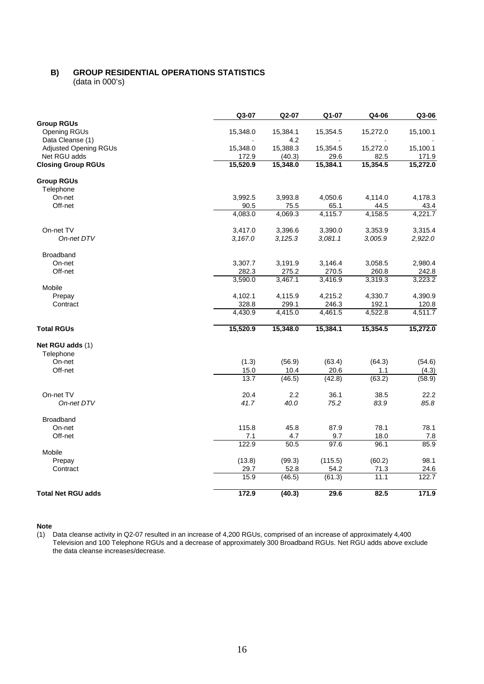# **B) GROUP RESIDENTIAL OPERATIONS STATISTICS**

(data in 000's)

|                                                              | Q3-07             | Q2-07              | Q1-07            | Q4-06            | Q3-06             |
|--------------------------------------------------------------|-------------------|--------------------|------------------|------------------|-------------------|
| <b>Group RGUs</b><br><b>Opening RGUs</b><br>Data Cleanse (1) | 15,348.0          | 15,384.1<br>4.2    | 15,354.5         | 15,272.0         | 15,100.1          |
| <b>Adjusted Opening RGUs</b><br>Net RGU adds                 | 15,348.0<br>172.9 | 15,388.3<br>(40.3) | 15,354.5<br>29.6 | 15,272.0<br>82.5 | 15,100.1<br>171.9 |
| <b>Closing Group RGUs</b>                                    | 15,520.9          | 15,348.0           | 15,384.1         | 15,354.5         | 15,272.0          |
| <b>Group RGUs</b>                                            |                   |                    |                  |                  |                   |
| Telephone                                                    |                   |                    |                  |                  |                   |
| On-net                                                       | 3,992.5           | 3,993.8            | 4,050.6          | 4,114.0          | 4,178.3           |
| Off-net                                                      | 90.5              | 75.5               | 65.1             | 44.5             | 43.4              |
|                                                              | 4,083.0           | 4,069.3            | 4,115.7          | 4,158.5          | 4,221.7           |
| On-net TV                                                    | 3,417.0           | 3,396.6            | 3,390.0          | 3,353.9          | 3,315.4           |
| On-net DTV                                                   | 3,167.0           | 3,125.3            | 3,081.1          | 3,005.9          | 2,922.0           |
| <b>Broadband</b>                                             |                   |                    |                  |                  |                   |
| On-net                                                       | 3,307.7           | 3,191.9            | 3,146.4          | 3,058.5          | 2,980.4           |
| Off-net                                                      | 282.3             | 275.2              | 270.5            | 260.8            | 242.8             |
| Mobile                                                       | 3,590.0           | 3,467.1            | 3,416.9          | 3,319.3          | 3,223.2           |
| Prepay                                                       | 4,102.1           | 4,115.9            | 4,215.2          | 4,330.7          | 4,390.9           |
| Contract                                                     | 328.8             | 299.1              | 246.3            | 192.1            | 120.8             |
|                                                              | 4,430.9           | 4,415.0            | 4,461.5          | 4,522.8          | 4,511.7           |
| <b>Total RGUs</b>                                            | 15,520.9          | 15,348.0           | 15,384.1         | 15,354.5         | 15,272.0          |
| Net RGU adds (1)                                             |                   |                    |                  |                  |                   |
| Telephone                                                    |                   |                    |                  |                  |                   |
| On-net                                                       | (1.3)             | (56.9)             | (63.4)           | (64.3)           | (54.6)            |
| Off-net                                                      | 15.0              | 10.4               | 20.6             | 1.1              | (4.3)             |
|                                                              | 13.7              | (46.5)             | (42.8)           | (63.2)           | (58.9)            |
| On-net TV                                                    | 20.4              | 2.2                | 36.1             | 38.5             | 22.2              |
| On-net DTV                                                   | 41.7              | 40.0               | 75.2             | 83.9             | 85.8              |
| Broadband                                                    |                   |                    |                  |                  |                   |
| On-net                                                       | 115.8             | 45.8               | 87.9             | 78.1             | 78.1              |
| Off-net                                                      | 7.1               | 4.7                | 9.7              | 18.0             | 7.8               |
|                                                              | 122.9             | 50.5               | 97.6             | 96.1             | 85.9              |
| Mobile                                                       |                   |                    |                  |                  |                   |
| Prepay                                                       | (13.8)            | (99.3)             | (115.5)          | (60.2)           | 98.1              |
| Contract                                                     | 29.7              | 52.8               | 54.2             | 71.3             | 24.6              |
|                                                              | 15.9              | (46.5)             | (61.3)           | 11.1             | 122.7             |
| <b>Total Net RGU adds</b>                                    | 172.9             | (40.3)             | 29.6             | 82.5             | 171.9             |

**Note**

(1) Data cleanse activity in Q2-07 resulted in an increase of 4,200 RGUs, comprised of an increase of approximately 4,400 Television and 100 Telephone RGUs and a decrease of approximately 300 Broadband RGUs. Net RGU adds above exclude the data cleanse increases/decrease.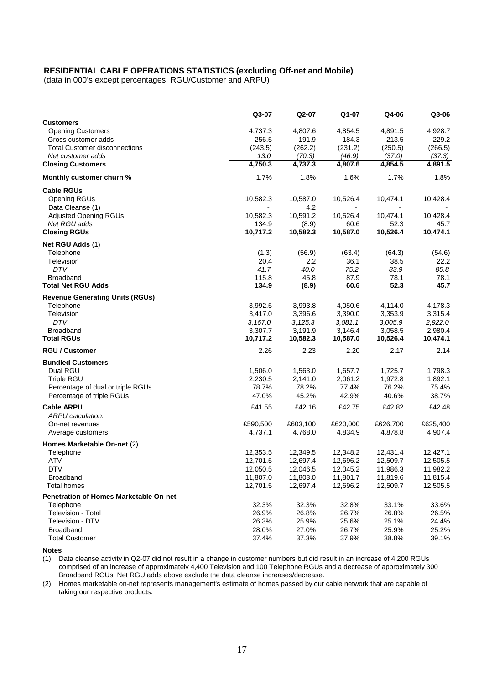## **RESIDENTIAL CABLE OPERATIONS STATISTICS (excluding Off-net and Mobile)**

(data in 000's except percentages, RGU/Customer and ARPU)

|                                                 | Q3-07            | Q2-07            | Q1-07            | Q4-06            | Q3-06            |
|-------------------------------------------------|------------------|------------------|------------------|------------------|------------------|
| <b>Customers</b>                                |                  |                  |                  |                  |                  |
| <b>Opening Customers</b><br>Gross customer adds | 4,737.3<br>256.5 | 4,807.6<br>191.9 | 4,854.5<br>184.3 | 4,891.5<br>213.5 | 4,928.7<br>229.2 |
| <b>Total Customer disconnections</b>            | (243.5)          | (262.2)          | (231.2)          | (250.5)          | (266.5)          |
| Net customer adds                               | 13.0             | (70.3)           | (46.9)           | (37.0)           | (37.3)           |
| <b>Closing Customers</b>                        | 4,750.3          | 4,737.3          | 4,807.6          | 4,854.5          | 4,891.5          |
| Monthly customer churn %                        | 1.7%             | 1.8%             | 1.6%             | 1.7%             | 1.8%             |
| <b>Cable RGUs</b>                               |                  |                  |                  |                  |                  |
| <b>Opening RGUs</b>                             | 10,582.3         | 10,587.0         | 10,526.4         | 10,474.1         | 10,428.4         |
| Data Cleanse (1)                                |                  | 4.2              | $\blacksquare$   | $\blacksquare$   |                  |
| <b>Adjusted Opening RGUs</b>                    | 10,582.3         | 10,591.2         | 10,526.4         | 10,474.1         | 10,428.4         |
| Net RGU adds                                    | 134.9            | (8.9)            | 60.6             | 52.3             | 45.7             |
| <b>Closing RGUs</b>                             | 10,717.2         | 10,582.3         | 10,587.0         | 10,526.4         | 10,474.1         |
| Net RGU Adds (1)                                |                  |                  |                  |                  |                  |
| Telephone                                       | (1.3)            | (56.9)           | (63.4)           | (64.3)           | (54.6)           |
| Television                                      | 20.4             | 2.2              | 36.1             | 38.5             | 22.2             |
| <b>DTV</b>                                      | 41.7             | 40.0             | 75.2             | 83.9             | 85.8             |
| Broadband                                       | 115.8            | 45.8             | 87.9             | 78.1             | 78.1             |
| <b>Total Net RGU Adds</b>                       | 134.9            | (8.9)            | 60.6             | 52.3             | 45.7             |
| <b>Revenue Generating Units (RGUs)</b>          |                  |                  |                  |                  |                  |
| Telephone                                       | 3,992.5          | 3,993.8          | 4,050.6          | 4,114.0          | 4,178.3          |
| Television                                      | 3,417.0          | 3,396.6          | 3,390.0          | 3,353.9          | 3,315.4          |
| <b>DTV</b>                                      | 3,167.0          | 3,125.3          | 3,081.1          | 3,005.9          | 2,922.0          |
| <b>Broadband</b>                                | 3,307.7          | 3,191.9          | 3,146.4          | 3,058.5          | 2,980.4          |
| <b>Total RGUs</b>                               | 10,717.2         | 10,582.3         | 10,587.0         | 10,526.4         | 10,474.1         |
| <b>RGU / Customer</b>                           | 2.26             | 2.23             | 2.20             | 2.17             | 2.14             |
| <b>Bundled Customers</b>                        |                  |                  |                  |                  |                  |
| Dual RGU                                        | 1,506.0          | 1,563.0          | 1,657.7          | 1,725.7          | 1,798.3          |
| Triple RGU                                      | 2,230.5          | 2,141.0          | 2,061.2          | 1,972.8          | 1,892.1          |
| Percentage of dual or triple RGUs               | 78.7%<br>47.0%   | 78.2%            | 77.4%<br>42.9%   | 76.2%<br>40.6%   | 75.4%<br>38.7%   |
| Percentage of triple RGUs                       |                  | 45.2%            |                  |                  |                  |
| <b>Cable ARPU</b><br>ARPU calculation:          | £41.55           | £42.16           | £42.75           | £42.82           | £42.48           |
| On-net revenues                                 | £590,500         | £603,100         | £620,000         | £626,700         | £625,400         |
| Average customers                               | 4,737.1          | 4,768.0          | 4,834.9          | 4,878.8          | 4,907.4          |
| Homes Marketable On-net (2)                     |                  |                  |                  |                  |                  |
| Telephone                                       | 12,353.5         | 12,349.5         | 12,348.2         | 12,431.4         | 12,427.1         |
| <b>ATV</b>                                      | 12,701.5         | 12,697.4         | 12,696.2         | 12,509.7         | 12,505.5         |
| <b>DTV</b>                                      | 12,050.5         | 12,046.5         | 12,045.2         | 11,986.3         | 11,982.2         |
| Broadband                                       | 11,807.0         | 11,803.0         | 11,801.7         | 11,819.6         | 11,815.4         |
| <b>Total homes</b>                              | 12,701.5         | 12,697.4         | 12,696.2         | 12,509.7         | 12,505.5         |
| <b>Penetration of Homes Marketable On-net</b>   |                  |                  |                  |                  |                  |
| Telephone                                       | 32.3%            | 32.3%            | 32.8%            | 33.1%            | 33.6%            |
| Television - Total                              | 26.9%            | 26.8%            | 26.7%            | 26.8%            | 26.5%            |
| Television - DTV                                | 26.3%            | 25.9%            | 25.6%            | 25.1%            | 24.4%            |
| Broadband                                       | 28.0%            | 27.0%            | 26.7%            | 25.9%            | 25.2%            |
| <b>Total Customer</b>                           | 37.4%            | 37.3%            | 37.9%            | 38.8%            | 39.1%            |

#### **Notes**

(1) Data cleanse activity in Q2-07 did not result in a change in customer numbers but did result in an increase of 4,200 RGUs comprised of an increase of approximately 4,400 Television and 100 Telephone RGUs and a decrease of approximately 300 Broadband RGUs. Net RGU adds above exclude the data cleanse increases/decrease.

(2) Homes marketable on-net represents management's estimate of homes passed by our cable network that are capable of taking our respective products.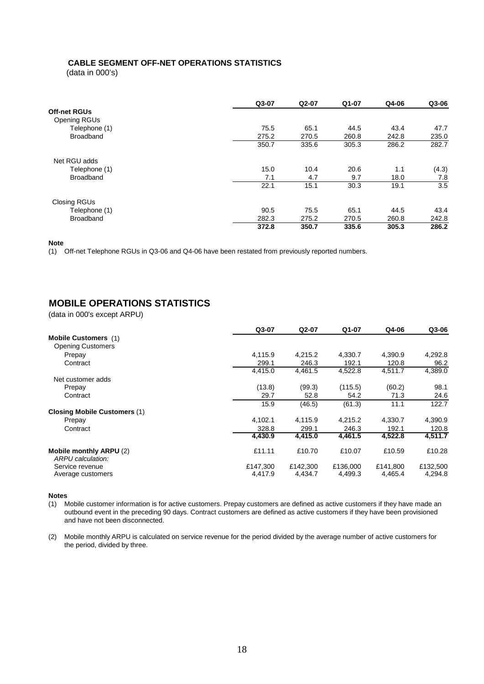# **CABLE SEGMENT OFF-NET OPERATIONS STATISTICS**

(data in 000's)

|                     | Q3-07 | Q2-07 | Q1-07 | Q4-06 | Q3-06 |
|---------------------|-------|-------|-------|-------|-------|
| <b>Off-net RGUs</b> |       |       |       |       |       |
| Opening RGUs        |       |       |       |       |       |
| Telephone (1)       | 75.5  | 65.1  | 44.5  | 43.4  | 47.7  |
| Broadband           | 275.2 | 270.5 | 260.8 | 242.8 | 235.0 |
|                     | 350.7 | 335.6 | 305.3 | 286.2 | 282.7 |
| Net RGU adds        |       |       |       |       |       |
| Telephone (1)       | 15.0  | 10.4  | 20.6  | 1.1   | (4.3) |
| <b>Broadband</b>    | 7.1   | 4.7   | 9.7   | 18.0  | 7.8   |
|                     | 22.1  | 15.1  | 30.3  | 19.1  | 3.5   |
| Closing RGUs        |       |       |       |       |       |
| Telephone (1)       | 90.5  | 75.5  | 65.1  | 44.5  | 43.4  |
| <b>Broadband</b>    | 282.3 | 275.2 | 270.5 | 260.8 | 242.8 |
|                     | 372.8 | 350.7 | 335.6 | 305.3 | 286.2 |

#### **Note**

(1) Off-net Telephone RGUs in Q3-06 and Q4-06 have been restated from previously reported numbers.

# **MOBILE OPERATIONS STATISTICS**

(data in 000's except ARPU)

|                                              | Q3-07    | Q2-07    | Q1-07    | Q4-06    | Q3-06    |
|----------------------------------------------|----------|----------|----------|----------|----------|
| <b>Mobile Customers</b> (1)                  |          |          |          |          |          |
| <b>Opening Customers</b>                     |          |          |          |          |          |
| Prepay                                       | 4,115.9  | 4,215.2  | 4,330.7  | 4,390.9  | 4,292.8  |
| Contract                                     | 299.1    | 246.3    | 192.1    | 120.8    | 96.2     |
|                                              | 4,415.0  | 4,461.5  | 4,522.8  | 4,511.7  | 4,389.0  |
| Net customer adds                            |          |          |          |          |          |
| Prepay                                       | (13.8)   | (99.3)   | (115.5)  | (60.2)   | 98.1     |
| Contract                                     | 29.7     | 52.8     | 54.2     | 71.3     | 24.6     |
|                                              | 15.9     | (46.5)   | (61.3)   | 11.1     | 122.7    |
| <b>Closing Mobile Customers (1)</b>          |          |          |          |          |          |
| Prepay                                       | 4,102.1  | 4,115.9  | 4,215.2  | 4,330.7  | 4,390.9  |
| Contract                                     | 328.8    | 299.1    | 246.3    | 192.1    | 120.8    |
|                                              | 4,430.9  | 4,415.0  | 4,461.5  | 4,522.8  | 4,511.7  |
| Mobile monthly ARPU (2)<br>ARPU calculation: | £11.11   | £10.70   | £10.07   | £10.59   | £10.28   |
| Service revenue                              | £147,300 | £142,300 | £136,000 | £141.800 | £132,500 |
| Average customers                            | 4,417.9  | 4,434.7  | 4,499.3  | 4,465.4  | 4,294.8  |
|                                              |          |          |          |          |          |

#### **Notes**

(1) Mobile customer information is for active customers. Prepay customers are defined as active customers if they have made an outbound event in the preceding 90 days. Contract customers are defined as active customers if they have been provisioned and have not been disconnected.

(2) Mobile monthly ARPU is calculated on service revenue for the period divided by the average number of active customers for the period, divided by three.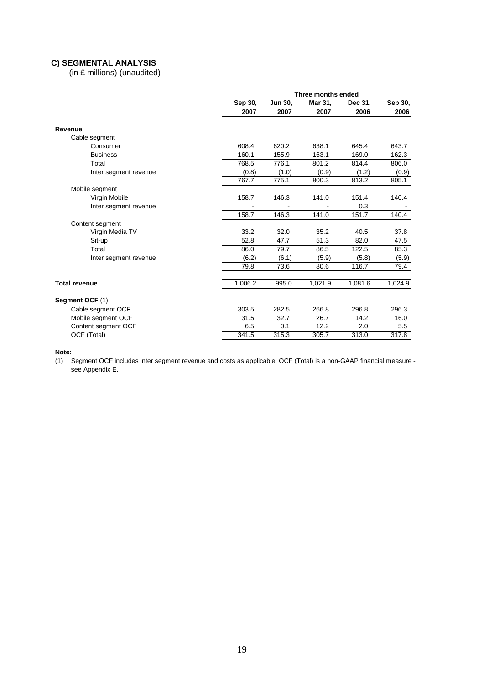# **C) SEGMENTAL ANALYSIS**

(in £ millions) (unaudited)

|                       | Three months ended |         |         |         |         |  |
|-----------------------|--------------------|---------|---------|---------|---------|--|
|                       | Sep 30,            | Jun 30, | Mar 31, | Dec 31, | Sep 30, |  |
|                       | 2007               | 2007    | 2007    | 2006    | 2006    |  |
| Revenue               |                    |         |         |         |         |  |
| Cable segment         |                    |         |         |         |         |  |
| Consumer              | 608.4              | 620.2   | 638.1   | 645.4   | 643.7   |  |
| <b>Business</b>       | 160.1              | 155.9   | 163.1   | 169.0   | 162.3   |  |
| Total                 | 768.5              | 776.1   | 801.2   | 814.4   | 806.0   |  |
| Inter segment revenue | (0.8)              | (1.0)   | (0.9)   | (1.2)   | (0.9)   |  |
|                       | 767.7              | 775.1   | 800.3   | 813.2   | 805.1   |  |
| Mobile segment        |                    |         |         |         |         |  |
| Virgin Mobile         | 158.7              | 146.3   | 141.0   | 151.4   | 140.4   |  |
| Inter segment revenue |                    |         |         | 0.3     |         |  |
|                       | 158.7              | 146.3   | 141.0   | 151.7   | 140.4   |  |
| Content segment       |                    |         |         |         |         |  |
| Virgin Media TV       | 33.2               | 32.0    | 35.2    | 40.5    | 37.8    |  |
| Sit-up                | 52.8               | 47.7    | 51.3    | 82.0    | 47.5    |  |
| Total                 | 86.0               | 79.7    | 86.5    | 122.5   | 85.3    |  |
| Inter segment revenue | (6.2)              | (6.1)   | (5.9)   | (5.8)   | (5.9)   |  |
|                       | 79.8               | 73.6    | 80.6    | 116.7   | 79.4    |  |
|                       |                    |         |         |         |         |  |
| <b>Total revenue</b>  | 1,006.2            | 995.0   | 1,021.9 | 1,081.6 | 1,024.9 |  |
| Segment OCF (1)       |                    |         |         |         |         |  |
| Cable segment OCF     | 303.5              | 282.5   | 266.8   | 296.8   | 296.3   |  |
| Mobile segment OCF    | 31.5               | 32.7    | 26.7    | 14.2    | 16.0    |  |
| Content segment OCF   | 6.5                | 0.1     | 12.2    | 2.0     | 5.5     |  |
| OCF (Total)           | 341.5              | 315.3   | 305.7   | 313.0   | 317.8   |  |

#### **Note:**

(1) Segment OCF includes inter segment revenue and costs as applicable. OCF (Total) is a non-GAAP financial measure see Appendix E.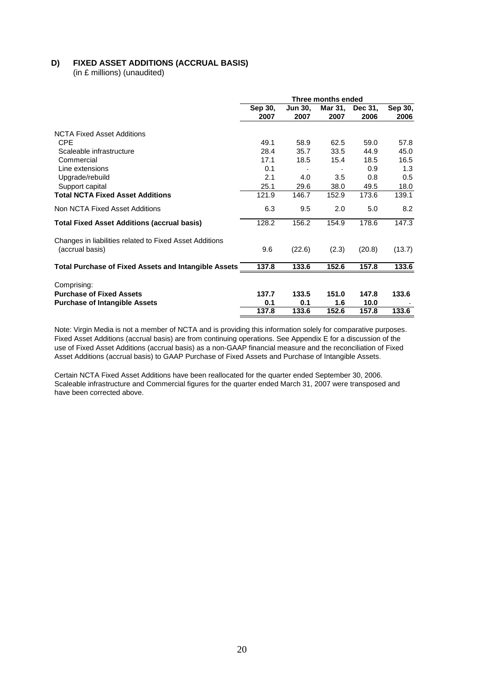# **D) FIXED ASSET ADDITIONS (ACCRUAL BASIS)**

(in £ millions) (unaudited)

| Three months ended |                |       |         |                          |  |
|--------------------|----------------|-------|---------|--------------------------|--|
| Sep 30,            | <b>Jun 30.</b> |       | Dec 31, | Sep 30,                  |  |
| 2007               | 2007           | 2007  | 2006    | 2006                     |  |
|                    |                |       |         |                          |  |
| 49.1               | 58.9           | 62.5  | 59.0    | 57.8                     |  |
| 28.4               | 35.7           | 33.5  | 44.9    | 45.0                     |  |
| 17.1               | 18.5           | 15.4  | 18.5    | 16.5                     |  |
| 0.1                |                |       | 0.9     | 1.3                      |  |
| 2.1                | 4.0            | 3.5   | 0.8     | 0.5                      |  |
| 25.1               | 29.6           | 38.0  | 49.5    | 18.0                     |  |
| 121.9              | 146.7          | 152.9 | 173.6   | 139.1                    |  |
| 6.3                | 9.5            | 2.0   | 5.0     | 8.2                      |  |
| 128.2              | 156.2          | 154.9 | 178.6   | 147.3                    |  |
| 9.6                | (22.6)         | (2.3) | (20.8)  | (13.7)                   |  |
| 137.8              | 133.6          | 152.6 | 157.8   | 133.6                    |  |
|                    |                |       |         |                          |  |
|                    |                |       |         | 133.6                    |  |
| 0.1                | 0.1            | 1.6   |         |                          |  |
| 137.8              | 133.6          | 152.6 | 157.8   | 133.6                    |  |
|                    | 137.7          | 133.5 | 151.0   | Mar 31,<br>147.8<br>10.0 |  |

Note: Virgin Media is not a member of NCTA and is providing this information solely for comparative purposes. Fixed Asset Additions (accrual basis) are from continuing operations. See Appendix E for a discussion of the use of Fixed Asset Additions (accrual basis) as a non-GAAP financial measure and the reconciliation of Fixed Asset Additions (accrual basis) to GAAP Purchase of Fixed Assets and Purchase of Intangible Assets.

Certain NCTA Fixed Asset Additions have been reallocated for the quarter ended September 30, 2006. Scaleable infrastructure and Commercial figures for the quarter ended March 31, 2007 were transposed and have been corrected above.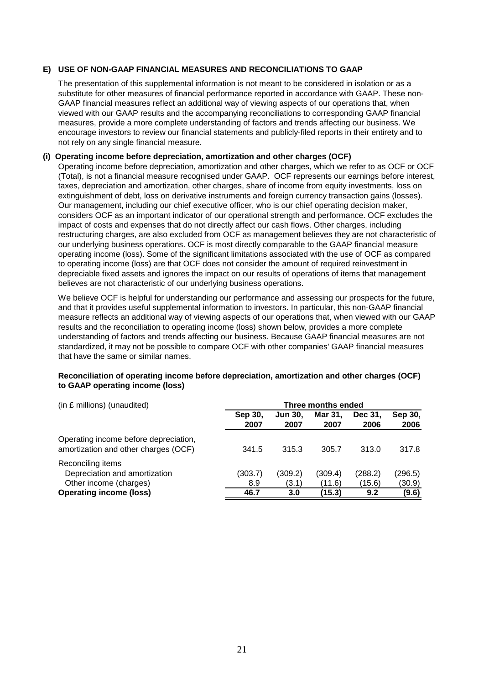# **E) USE OF NON-GAAP FINANCIAL MEASURES AND RECONCILIATIONS TO GAAP**

The presentation of this supplemental information is not meant to be considered in isolation or as a substitute for other measures of financial performance reported in accordance with GAAP. These non-GAAP financial measures reflect an additional way of viewing aspects of our operations that, when viewed with our GAAP results and the accompanying reconciliations to corresponding GAAP financial measures, provide a more complete understanding of factors and trends affecting our business. We encourage investors to review our financial statements and publicly-filed reports in their entirety and to not rely on any single financial measure.

### **(i) Operating income before depreciation, amortization and other charges (OCF)**

Operating income before depreciation, amortization and other charges, which we refer to as OCF or OCF (Total), is not a financial measure recognised under GAAP. OCF represents our earnings before interest, taxes, depreciation and amortization, other charges, share of income from equity investments, loss on extinguishment of debt, loss on derivative instruments and foreign currency transaction gains (losses). Our management, including our chief executive officer, who is our chief operating decision maker, considers OCF as an important indicator of our operational strength and performance. OCF excludes the impact of costs and expenses that do not directly affect our cash flows. Other charges, including restructuring charges, are also excluded from OCF as management believes they are not characteristic of our underlying business operations. OCF is most directly comparable to the GAAP financial measure operating income (loss). Some of the significant limitations associated with the use of OCF as compared to operating income (loss) are that OCF does not consider the amount of required reinvestment in depreciable fixed assets and ignores the impact on our results of operations of items that management believes are not characteristic of our underlying business operations.

We believe OCF is helpful for understanding our performance and assessing our prospects for the future, and that it provides useful supplemental information to investors. In particular, this non-GAAP financial measure reflects an additional way of viewing aspects of our operations that, when viewed with our GAAP results and the reconciliation to operating income (loss) shown below, provides a more complete understanding of factors and trends affecting our business. Because GAAP financial measures are not standardized, it may not be possible to compare OCF with other companies' GAAP financial measures that have the same or similar names.

| (in £ millions) (unaudited)                                                   |                 | Three months ended     |                   |                   |                   |  |  |
|-------------------------------------------------------------------------------|-----------------|------------------------|-------------------|-------------------|-------------------|--|--|
|                                                                               | Sep 30,<br>2007 | <b>Jun 30.</b><br>2007 | Mar 31.<br>2007   | Dec 31,<br>2006   | Sep 30,<br>2006   |  |  |
| Operating income before depreciation,<br>amortization and other charges (OCF) | 341.5           | 315.3                  | 305.7             | 313.0             | 317.8             |  |  |
| Reconciling items<br>Depreciation and amortization<br>Other income (charges)  | (303.7)<br>8.9  | (309.2)<br>(3.1)       | (309.4)<br>(11.6) | (288.2)<br>(15.6) | (296.5)<br>(30.9) |  |  |
| <b>Operating income (loss)</b>                                                | 46.7            | 3.0                    | (15.3)            | 9.2               | (9.6)             |  |  |

# **Reconciliation of operating income before depreciation, amortization and other charges (OCF) to GAAP operating income (loss)**